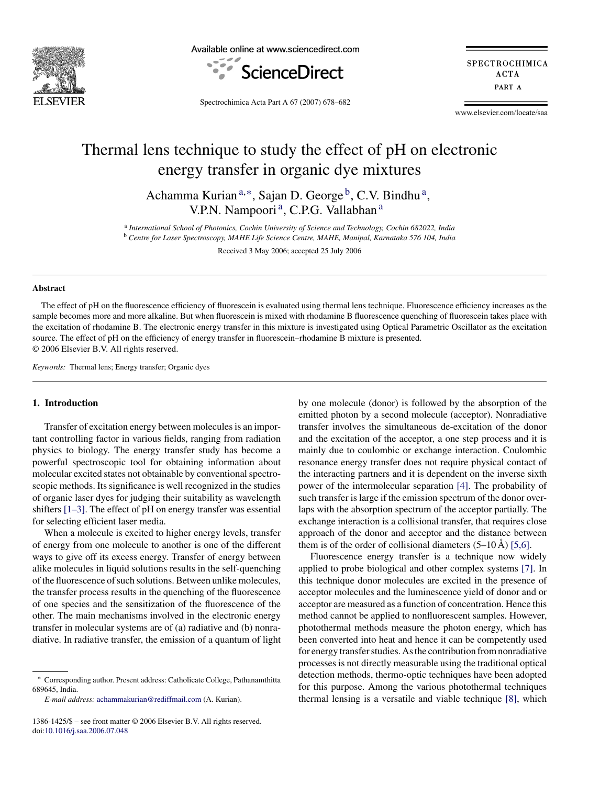

Available online at www.sciencedirect.com



**SPECTROCHIMICA ACTA** PART A

Spectrochimica Acta Part A 67 (2007) 678–682

www.elsevier.com/locate/saa

# Thermal lens technique to study the effect of pH on electronic energy transfer in organic dye mixtures

Achamma Kurian  $a^*$ , Sajan D. George<sup>b</sup>, C.V. Bindhu<sup>a</sup>, V.P.N. Nampoori<sup>a</sup>, C.P.G. Vallabhan<sup>a</sup>

<sup>a</sup> *International School of Photonics, Cochin University of Science and Technology, Cochin 682022, India* <sup>b</sup> *Centre for Laser Spectroscopy, MAHE Life Science Centre, MAHE, Manipal, Karnataka 576 104, India*

Received 3 May 2006; accepted 25 July 2006

#### **Abstract**

The effect of pH on the fluorescence efficiency of fluorescein is evaluated using thermal lens technique. Fluorescence efficiency increases as the sample becomes more and more alkaline. But when fluorescein is mixed with rhodamine B fluorescence quenching of fluorescein takes place with the excitation of rhodamine B. The electronic energy transfer in this mixture is investigated using Optical Parametric Oscillator as the excitation source. The effect of pH on the efficiency of energy transfer in fluorescein–rhodamine B mixture is presented. © 2006 Elsevier B.V. All rights reserved.

*Keywords:* Thermal lens; Energy transfer; Organic dyes

## **1. Introduction**

Transfer of excitation energy between molecules is an important controlling factor in various fields, ranging from radiation physics to biology. The energy transfer study has become a powerful spectroscopic tool for obtaining information about molecular excited states not obtainable by conventional spectroscopic methods. Its significance is well recognized in the studies of organic laser dyes for judging their suitability as wavelength shifters [\[1–3\]. T](#page-4-0)he effect of pH on energy transfer was essential for selecting efficient laser media.

When a molecule is excited to higher energy levels, transfer of energy from one molecule to another is one of the different ways to give off its excess energy. Transfer of energy between alike molecules in liquid solutions results in the self-quenching of the fluorescence of such solutions. Between unlike molecules, the transfer process results in the quenching of the fluorescence of one species and the sensitization of the fluorescence of the other. The main mechanisms involved in the electronic energy transfer in molecular systems are of (a) radiative and (b) nonradiative. In radiative transfer, the emission of a quantum of light

1386-1425/\$ – see front matter © 2006 Elsevier B.V. All rights reserved. doi[:10.1016/j.saa.2006.07.048](dx.doi.org/10.1016/j.saa.2006.07.048)

by one molecule (donor) is followed by the absorption of the emitted photon by a second molecule (acceptor). Nonradiative transfer involves the simultaneous de-excitation of the donor and the excitation of the acceptor, a one step process and it is mainly due to coulombic or exchange interaction. Coulombic resonance energy transfer does not require physical contact of the interacting partners and it is dependent on the inverse sixth power of the intermolecular separation [\[4\].](#page-4-0) The probability of such transfer is large if the emission spectrum of the donor overlaps with the absorption spectrum of the acceptor partially. The exchange interaction is a collisional transfer, that requires close approach of the donor and acceptor and the distance between them is of the order of collisional diameters  $(5-10 \text{ Å})$  [\[5,6\].](#page-4-0)

Fluorescence energy transfer is a technique now widely applied to probe biological and other complex systems [\[7\].](#page-4-0) In this technique donor molecules are excited in the presence of acceptor molecules and the luminescence yield of donor and or acceptor are measured as a function of concentration. Hence this method cannot be applied to nonfluorescent samples. However, photothermal methods measure the photon energy, which has been converted into heat and hence it can be competently used for energy transfer studies. As the contribution from nonradiative processes is not directly measurable using the traditional optical detection methods, thermo-optic techniques have been adopted for this purpose. Among the various photothermal techniques thermal lensing is a versatile and viable technique [\[8\],](#page-4-0) which

<sup>∗</sup> Corresponding author. Present address: Catholicate College, Pathanamthitta 689645, India.

*E-mail address:* [achammakurian@rediffmail.com](mailto:achammakurian@rediffmail.com) (A. Kurian).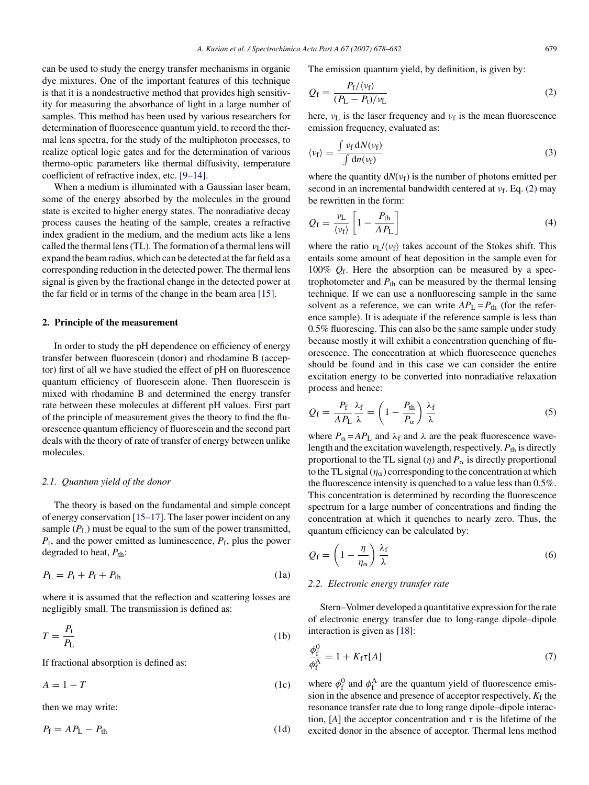<span id="page-1-0"></span>can be used to study the energy transfer mechanisms in organic dye mixtures. One of the important features of this technique is that it is a nondestructive method that provides high sensitivity for measuring the absorbance of light in a large number of samples. This method has been used by various researchers for determination of fluorescence quantum yield, to record the thermal lens spectra, for the study of the multiphoton processes, to realize optical logic gates and for the determination of various thermo-optic parameters like thermal diffusivity, temperature coefficient of refractive index, etc. [\[9–14\].](#page-4-0)

When a medium is illuminated with a Gaussian laser beam, some of the energy absorbed by the molecules in the ground state is excited to higher energy states. The nonradiative decay process causes the heating of the sample, creates a refractive index gradient in the medium, and the medium acts like a lens called the thermal lens (TL). The formation of a thermal lens will expand the beam radius, which can be detected at the far field as a corresponding reduction in the detected power. The thermal lens signal is given by the fractional change in the detected power at the far field or in terms of the change in the beam area [\[15\].](#page-4-0)

#### **2. Principle of the measurement**

In order to study the pH dependence on efficiency of energy transfer between fluorescein (donor) and rhodamine B (acceptor) first of all we have studied the effect of pH on fluorescence quantum efficiency of fluorescein alone. Then fluorescein is mixed with rhodamine B and determined the energy transfer rate between these molecules at different pH values. First part of the principle of measurement gives the theory to find the fluorescence quantum efficiency of fluorescein and the second part deals with the theory of rate of transfer of energy between unlike molecules.

#### *2.1. Quantum yield of the donor*

The theory is based on the fundamental and simple concept of energy conservation [\[15–17\]. T](#page-4-0)he laser power incident on any sample  $(P_L)$  must be equal to the sum of the power transmitted,  $P_t$ , and the power emitted as luminescence,  $P_f$ , plus the power degraded to heat,  $P_{\text{th}}$ :

$$
P_{\rm L} = P_{\rm t} + P_{\rm f} + P_{\rm th} \tag{1a}
$$

where it is assumed that the reflection and scattering losses are negligibly small. The transmission is defined as:

$$
T = \frac{P_{\rm t}}{P_{\rm L}}\tag{1b}
$$

If fractional absorption is defined as:

 $A = 1 - T$  (1c)

then we may write:

 $P_{\rm f} = AP_{\rm L} - P_{\rm th}$  (1d)

The emission quantum yield, by definition, is given by:

$$
Q_{\rm f} = \frac{P_{\rm f}/\langle v_{\rm f} \rangle}{(P_{\rm L} - P_{\rm t})/v_{\rm L}}\tag{2}
$$

here,  $v_L$  is the laser frequency and  $v_f$  is the mean fluorescence emission frequency, evaluated as:

$$
\langle v_{\rm f} \rangle = \frac{\int v_{\rm f} \, \mathrm{d}N(v_{\rm f})}{\int \mathrm{d}n(v_{\rm f})} \tag{3}
$$

where the quantity  $dN(v_f)$  is the number of photons emitted per second in an incremental bandwidth centered at  $v_f$ . Eq. (2) may be rewritten in the form:

$$
Q_{\rm f} = \frac{v_{\rm L}}{\langle v_{\rm f} \rangle} \left[ 1 - \frac{P_{\rm th}}{A P_{\rm L}} \right] \tag{4}
$$

where the ratio  $v_L/\langle v_f \rangle$  takes account of the Stokes shift. This entails some amount of heat deposition in the sample even for 100% *Q*f. Here the absorption can be measured by a spectrophotometer and  $P_{\text{th}}$  can be measured by the thermal lensing technique. If we can use a nonfluorescing sample in the same solvent as a reference, we can write  $AP_L = P_{th}$  (for the reference sample). It is adequate if the reference sample is less than 0*.*5% fluorescing. This can also be the same sample under study because mostly it will exhibit a concentration quenching of fluorescence. The concentration at which fluorescence quenches should be found and in this case we can consider the entire excitation energy to be converted into nonradiative relaxation process and hence:

$$
Q_{\rm f} = \frac{P_{\rm f}}{AP_{\rm L}} \frac{\lambda_{\rm f}}{\lambda} = \left(1 - \frac{P_{\rm th}}{P_{\alpha}}\right) \frac{\lambda_{\rm f}}{\lambda} \tag{5}
$$

where  $P_{\alpha} = AP_{\alpha}$  and  $\lambda_f$  and  $\lambda$  are the peak fluorescence wavelength and the excitation wavelength, respectively.  $P_{\text{th}}$  is directly proportional to the TL signal  $(\eta)$  and  $P_\alpha$  is directly proportional to the TL signal  $(\eta_\alpha)$  corresponding to the concentration at which the fluorescence intensity is quenched to a value less than 0*.*5%. This concentration is determined by recording the fluorescence spectrum for a large number of concentrations and finding the concentration at which it quenches to nearly zero. Thus, the quantum efficiency can be calculated by:

$$
Q_{\rm f} = \left(1 - \frac{\eta}{\eta_{\alpha}}\right) \frac{\lambda_{\rm f}}{\lambda} \tag{6}
$$

## *2.2. Electronic energy transfer rate*

Stern–Volmer developed a quantitative expression for the rate of electronic energy transfer due to long-range dipole–dipole interaction is given as [\[18\]:](#page-4-0)

$$
\frac{\phi_{\rm f}^0}{\phi_{\rm f}^{\rm A}} = 1 + K_{\rm f} \tau[A] \tag{7}
$$

where  $\phi_f^0$  and  $\phi_f^A$  are the quantum yield of fluorescence emission in the absence and presence of acceptor respectively,  $K_f$  the resonance transfer rate due to long range dipole–dipole interaction, [A] the acceptor concentration and  $\tau$  is the lifetime of the excited donor in the absence of acceptor. Thermal lens method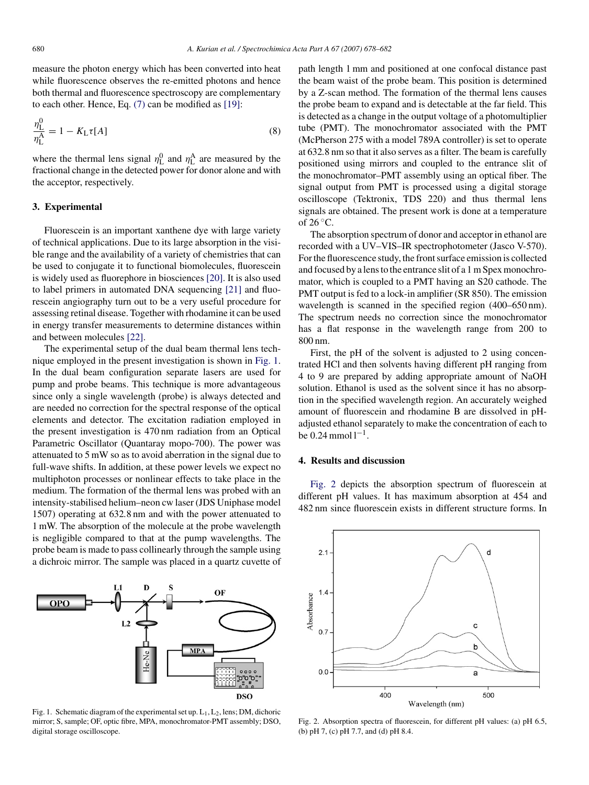<span id="page-2-0"></span>measure the photon energy which has been converted into heat while fluorescence observes the re-emitted photons and hence both thermal and fluorescence spectroscopy are complementary to each other. Hence, Eq. [\(7\)](#page-1-0) can be modified as [\[19\]:](#page-4-0)

$$
\frac{\eta_{\rm L}^0}{\eta_{\rm L}^{\rm A}} = 1 - K_{\rm L} \tau[A] \tag{8}
$$

where the thermal lens signal  $\eta_{\rm L}^0$  and  $\eta_{\rm L}^{\rm A}$  are measured by the fractional change in the detected power for donor alone and with the acceptor, respectively.

#### **3. Experimental**

Fluorescein is an important xanthene dye with large variety of technical applications. Due to its large absorption in the visible range and the availability of a variety of chemistries that can be used to conjugate it to functional biomolecules, fluorescein is widely used as fluorephore in biosciences [\[20\].](#page-4-0) It is also used to label primers in automated DNA sequencing [\[21\]](#page-4-0) and fluorescein angiography turn out to be a very useful procedure for assessing retinal disease. Together with rhodamine it can be used in energy transfer measurements to determine distances within and between molecules [\[22\].](#page-4-0)

The experimental setup of the dual beam thermal lens technique employed in the present investigation is shown in Fig. 1. In the dual beam configuration separate lasers are used for pump and probe beams. This technique is more advantageous since only a single wavelength (probe) is always detected and are needed no correction for the spectral response of the optical elements and detector. The excitation radiation employed in the present investigation is 470 nm radiation from an Optical Parametric Oscillator (Quantaray mopo-700). The power was attenuated to 5 mW so as to avoid aberration in the signal due to full-wave shifts. In addition, at these power levels we expect no multiphoton processes or nonlinear effects to take place in the medium. The formation of the thermal lens was probed with an intensity-stabilised helium–neon cw laser (JDS Uniphase model 1507) operating at 632*.*8 nm and with the power attenuated to 1 mW. The absorption of the molecule at the probe wavelength is negligible compared to that at the pump wavelengths. The probe beam is made to pass collinearly through the sample using a dichroic mirror. The sample was placed in a quartz cuvette of



Fig. 1. Schematic diagram of the experimental set up.  $L_1, L_2$ , lens; DM, dichoric mirror; S, sample; OF, optic fibre, MPA, monochromator-PMT assembly; DSO, digital storage oscilloscope.

path length 1 mm and positioned at one confocal distance past the beam waist of the probe beam. This position is determined by a Z-scan method. The formation of the thermal lens causes the probe beam to expand and is detectable at the far field. This is detected as a change in the output voltage of a photomultiplier tube (PMT). The monochromator associated with the PMT (McPherson 275 with a model 789A controller) is set to operate at 632*.*8 nm so that it also serves as a filter. The beam is carefully positioned using mirrors and coupled to the entrance slit of the monochromator–PMT assembly using an optical fiber. The signal output from PMT is processed using a digital storage oscilloscope (Tektronix, TDS 220) and thus thermal lens signals are obtained. The present work is done at a temperature of  $26^{\circ}$ C.

The absorption spectrum of donor and acceptor in ethanol are recorded with a UV–VIS–IR spectrophotometer (Jasco V-570). For the fluorescence study, the front surface emission is collected and focused by a lens to the entrance slit of a 1 m Spex monochromator, which is coupled to a PMT having an S20 cathode. The PMT output is fed to a lock-in amplifier (SR 850). The emission wavelength is scanned in the specified region (400–650 nm). The spectrum needs no correction since the monochromator has a flat response in the wavelength range from 200 to 800 nm.

First, the pH of the solvent is adjusted to 2 using concentrated HCl and then solvents having different pH ranging from 4 to 9 are prepared by adding appropriate amount of NaOH solution. Ethanol is used as the solvent since it has no absorption in the specified wavelength region. An accurately weighed amount of fluorescein and rhodamine B are dissolved in pHadjusted ethanol separately to make the concentration of each to be  $0.24 \text{ mmol } 1^{-1}$ .

## **4. Results and discussion**

Fig. 2 depicts the absorption spectrum of fluorescein at different pH values. It has maximum absorption at 454 and 482 nm since fluorescein exists in different structure forms. In



Fig. 2. Absorption spectra of fluorescein, for different pH values: (a) pH 6.5, (b) pH 7, (c) pH 7.7, and (d) pH 8.4.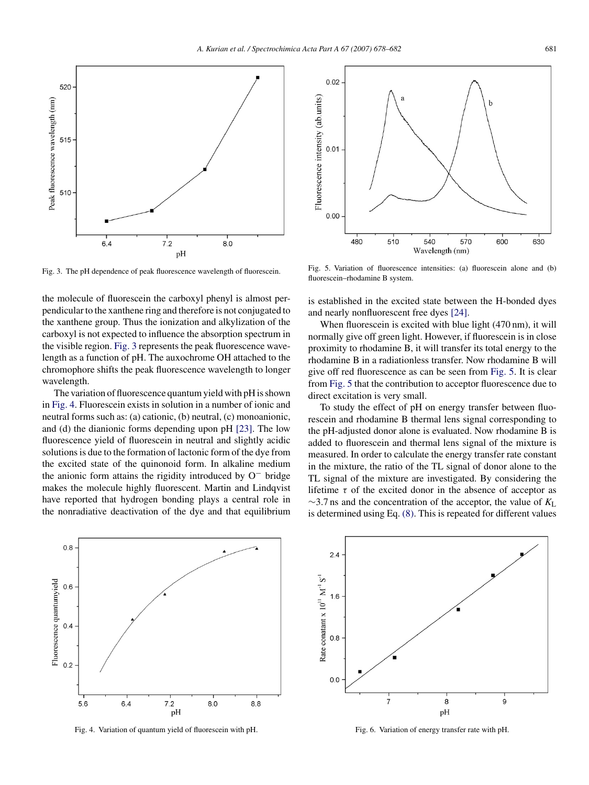<span id="page-3-0"></span>

Fig. 3. The pH dependence of peak fluorescence wavelength of fluorescein.

the molecule of fluorescein the carboxyl phenyl is almost perpendicular to the xanthene ring and therefore is not conjugated to the xanthene group. Thus the ionization and alkylization of the carboxyl is not expected to influence the absorption spectrum in the visible region. Fig. 3 represents the peak fluorescence wavelength as a function of pH. The auxochrome OH attached to the chromophore shifts the peak fluorescence wavelength to longer wavelength.

The variation of fluorescence quantum yield with pH is shown in Fig. 4. Fluorescein exists in solution in a number of ionic and neutral forms such as: (a) cationic, (b) neutral, (c) monoanionic, and (d) the dianionic forms depending upon pH [\[23\].](#page-4-0) The low fluorescence yield of fluorescein in neutral and slightly acidic solutions is due to the formation of lactonic form of the dye from the excited state of the quinonoid form. In alkaline medium the anionic form attains the rigidity introduced by O− bridge makes the molecule highly fluorescent. Martin and Lindqvist have reported that hydrogen bonding plays a central role in the nonradiative deactivation of the dye and that equilibrium



Fig. 5. Variation of fluorescence intensities: (a) fluorescein alone and (b) fluorescein–rhodamine B system.

is established in the excited state between the H-bonded dyes and nearly nonfluorescent free dyes [\[24\].](#page-4-0)

When fluorescein is excited with blue light (470 nm), it will normally give off green light. However, if fluorescein is in close proximity to rhodamine B, it will transfer its total energy to the rhodamine B in a radiationless transfer. Now rhodamine B will give off red fluorescence as can be seen from Fig. 5. It is clear from Fig. 5 that the contribution to acceptor fluorescence due to direct excitation is very small.

To study the effect of pH on energy transfer between fluorescein and rhodamine B thermal lens signal corresponding to the pH-adjusted donor alone is evaluated. Now rhodamine B is added to fluorescein and thermal lens signal of the mixture is measured. In order to calculate the energy transfer rate constant in the mixture, the ratio of the TL signal of donor alone to the TL signal of the mixture are investigated. By considering the lifetime  $\tau$  of the excited donor in the absence of acceptor as  $\sim$ 3.7 ns and the concentration of the acceptor, the value of  $K_L$ is determined using Eq. [\(8\).](#page-2-0) This is repeated for different values



Fig. 4. Variation of quantum yield of fluorescein with pH.



Fig. 6. Variation of energy transfer rate with pH.